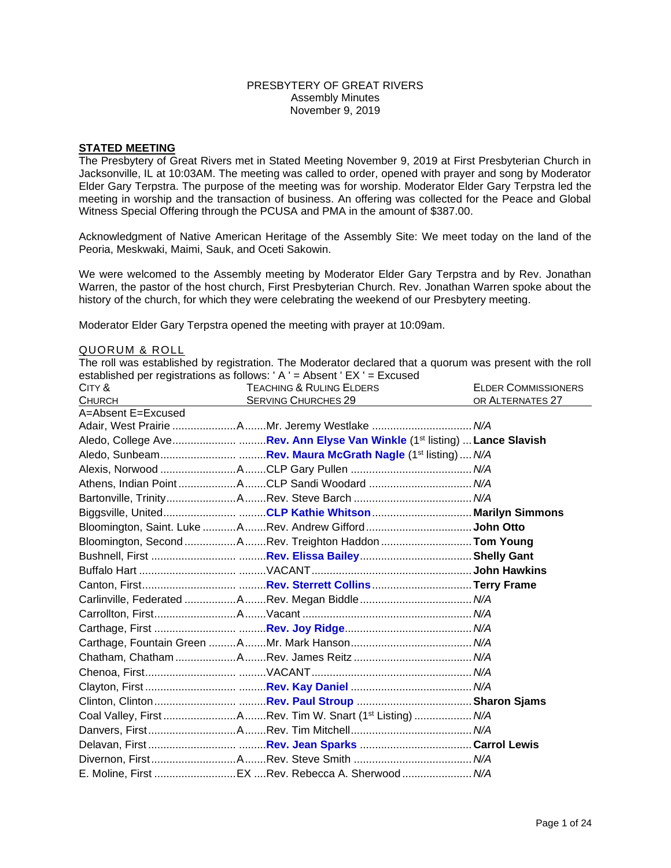#### PRESBYTERY OF GREAT RIVERS Assembly Minutes November 9, 2019

## **STATED MEETING**

The Presbytery of Great Rivers met in Stated Meeting November 9, 2019 at First Presbyterian Church in Jacksonville, IL at 10:03AM. The meeting was called to order, opened with prayer and song by Moderator Elder Gary Terpstra. The purpose of the meeting was for worship. Moderator Elder Gary Terpstra led the meeting in worship and the transaction of business. An offering was collected for the Peace and Global Witness Special Offering through the PCUSA and PMA in the amount of \$387.00.

Acknowledgment of Native American Heritage of the Assembly Site: We meet today on the land of the Peoria, Meskwaki, Maimi, Sauk, and Oceti Sakowin.

We were welcomed to the Assembly meeting by Moderator Elder Gary Terpstra and by Rev. Jonathan Warren, the pastor of the host church, First Presbyterian Church. Rev. Jonathan Warren spoke about the history of the church, for which they were celebrating the weekend of our Presbytery meeting.

Moderator Elder Gary Terpstra opened the meeting with prayer at 10:09am.

#### QUORUM & ROLL

The roll was established by registration. The Moderator declared that a quorum was present with the roll established per registrations as follows: ' A ' = Absent ' EX ' = Excused

| CITY &             | <b>TEACHING &amp; RULING ELDERS</b>                                                  | <b>ELDER COMMISSIONERS</b> |
|--------------------|--------------------------------------------------------------------------------------|----------------------------|
| <b>CHURCH</b>      | <b>SERVING CHURCHES 29</b>                                                           | OR ALTERNATES 27           |
| A=Absent E=Excused |                                                                                      |                            |
|                    | Adair, West Prairie AMr. Jeremy Westlake  N/A                                        |                            |
|                    | Aledo, College AveRev. Ann Elyse Van Winkle (1 <sup>st</sup> listing)  Lance Slavish |                            |
|                    |                                                                                      |                            |
|                    |                                                                                      |                            |
|                    | Athens, Indian Point ACLP Sandi Woodard  N/A                                         |                            |
|                    |                                                                                      |                            |
|                    | Biggsville, UnitedCLP Kathie WhitsonMarilyn Simmons                                  |                            |
|                    |                                                                                      |                            |
|                    | Bloomington, Second ARev. Treighton Haddon  Tom Young                                |                            |
|                    |                                                                                      |                            |
|                    |                                                                                      |                            |
|                    |                                                                                      |                            |
|                    |                                                                                      |                            |
|                    |                                                                                      |                            |
|                    |                                                                                      |                            |
|                    |                                                                                      |                            |
|                    |                                                                                      |                            |
|                    |                                                                                      |                            |
|                    |                                                                                      |                            |
|                    |                                                                                      |                            |
|                    | Coal Valley, First ARev. Tim W. Snart (1 <sup>st</sup> Listing)  N/A                 |                            |
|                    |                                                                                      |                            |
|                    |                                                                                      |                            |
|                    |                                                                                      |                            |
|                    | E. Moline, First EX Rev. Rebecca A. Sherwood  N/A                                    |                            |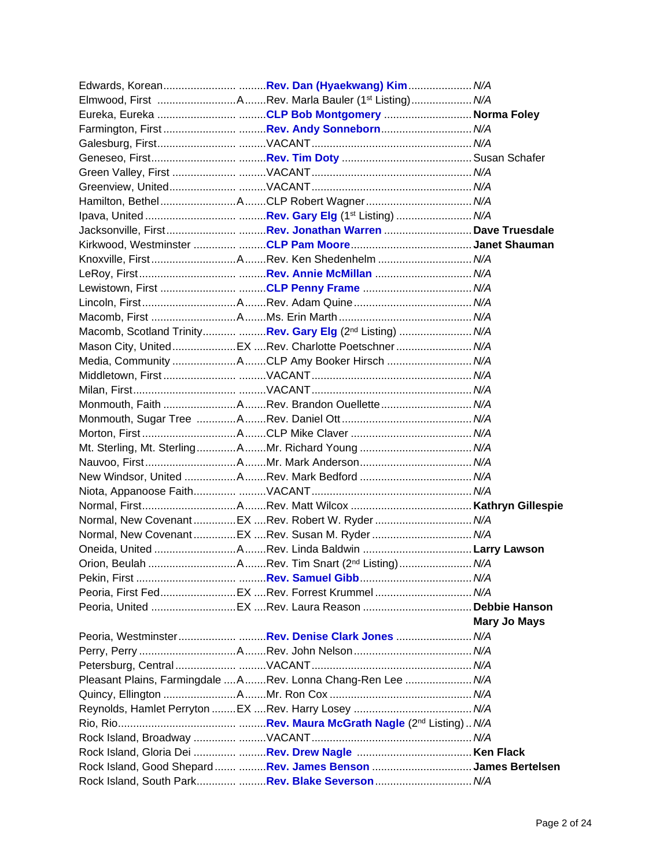|  | Elmwood, First Rev. Marla Bauler (1 <sup>st</sup> Listing) N/A        |                     |
|--|-----------------------------------------------------------------------|---------------------|
|  | Eureka, Eureka CLP Bob Montgomery Norma Foley                         |                     |
|  |                                                                       |                     |
|  |                                                                       |                     |
|  |                                                                       |                     |
|  |                                                                       |                     |
|  |                                                                       |                     |
|  |                                                                       |                     |
|  |                                                                       |                     |
|  | Jacksonville, FirstRev. Jonathan Warren  Dave Truesdale               |                     |
|  |                                                                       |                     |
|  |                                                                       |                     |
|  |                                                                       |                     |
|  |                                                                       |                     |
|  |                                                                       |                     |
|  |                                                                       |                     |
|  | Macomb, Scotland Trinity Rev. Gary Elg (2 <sup>nd</sup> Listing)  N/A |                     |
|  | Mason City, UnitedEX Rev. Charlotte Poetschner N/A                    |                     |
|  | Media, Community ACLP Amy Booker Hirsch  N/A                          |                     |
|  |                                                                       |                     |
|  |                                                                       |                     |
|  |                                                                       |                     |
|  |                                                                       |                     |
|  |                                                                       |                     |
|  |                                                                       |                     |
|  |                                                                       |                     |
|  |                                                                       |                     |
|  |                                                                       |                     |
|  |                                                                       |                     |
|  | Normal, New CovenantEX Rev. Robert W. Ryder  N/A                      |                     |
|  | Normal, New CovenantEX Rev. Susan M. Ryder  N/A                       |                     |
|  |                                                                       |                     |
|  |                                                                       |                     |
|  |                                                                       |                     |
|  |                                                                       |                     |
|  |                                                                       |                     |
|  |                                                                       | <b>Mary Jo Mays</b> |
|  |                                                                       |                     |
|  |                                                                       |                     |
|  |                                                                       |                     |
|  | Pleasant Plains, Farmingdale ARev. Lonna Chang-Ren Lee  N/A           |                     |
|  |                                                                       |                     |
|  |                                                                       |                     |
|  |                                                                       |                     |
|  |                                                                       |                     |
|  |                                                                       |                     |
|  | Rock Island, Good Shepard  Rev. James Benson James Bertelsen          |                     |
|  | Rock Island, South Park Rev. Blake Severson  N/A                      |                     |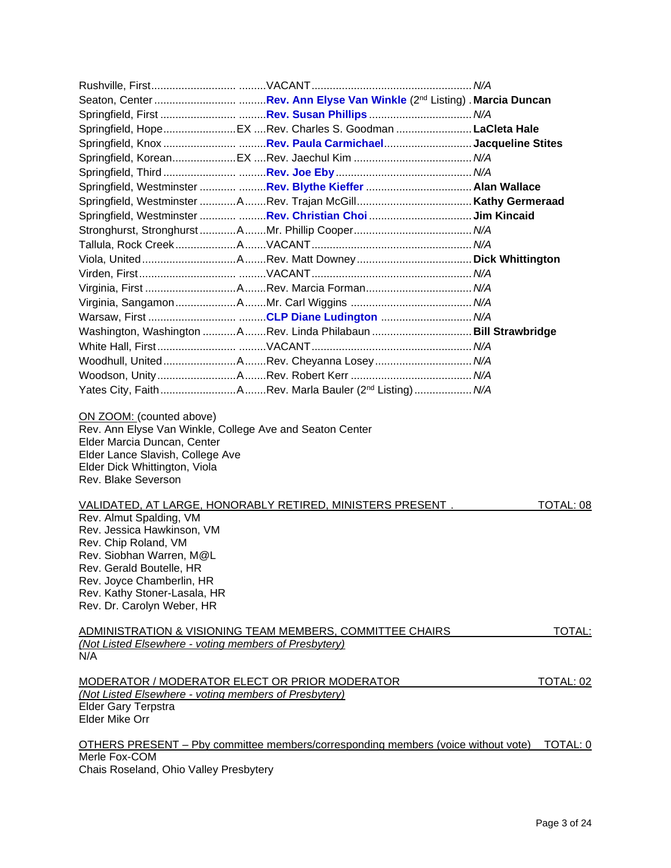|                                                                                                                                                                                                                                                                | Springfield, HopeEX Rev. Charles S. Goodman  LaCleta Hale                         |               |
|----------------------------------------------------------------------------------------------------------------------------------------------------------------------------------------------------------------------------------------------------------------|-----------------------------------------------------------------------------------|---------------|
|                                                                                                                                                                                                                                                                | Springfield, Knox Rev. Paula CarmichaelJacqueline Stites                          |               |
|                                                                                                                                                                                                                                                                |                                                                                   |               |
|                                                                                                                                                                                                                                                                |                                                                                   |               |
|                                                                                                                                                                                                                                                                |                                                                                   |               |
|                                                                                                                                                                                                                                                                |                                                                                   |               |
|                                                                                                                                                                                                                                                                |                                                                                   |               |
|                                                                                                                                                                                                                                                                |                                                                                   |               |
|                                                                                                                                                                                                                                                                |                                                                                   |               |
|                                                                                                                                                                                                                                                                |                                                                                   |               |
|                                                                                                                                                                                                                                                                |                                                                                   |               |
|                                                                                                                                                                                                                                                                |                                                                                   |               |
|                                                                                                                                                                                                                                                                |                                                                                   |               |
|                                                                                                                                                                                                                                                                |                                                                                   |               |
|                                                                                                                                                                                                                                                                | Washington, Washington ARev. Linda Philabaun  Bill Strawbridge                    |               |
|                                                                                                                                                                                                                                                                |                                                                                   |               |
|                                                                                                                                                                                                                                                                | Woodhull, UnitedARev. Cheyanna Losey N/A                                          |               |
|                                                                                                                                                                                                                                                                |                                                                                   |               |
|                                                                                                                                                                                                                                                                | Yates City, FaithARev. Marla Bauler (2 <sup>nd</sup> Listing) N/A                 |               |
| Elder Lance Slavish, College Ave<br>Elder Dick Whittington, Viola<br>Rev. Blake Severson<br>Rev. Almut Spalding, VM<br>Rev. Jessica Hawkinson, VM<br>Rev. Chip Roland, VM<br>Rev. Siobhan Warren, M@L<br>Rev. Gerald Boutelle, HR<br>Rev. Joyce Chamberlin, HR | VALIDATED, AT LARGE, HONORABLY RETIRED, MINISTERS PRESENT.                        | TOTAL: 08     |
| Rev. Kathy Stoner-Lasala, HR                                                                                                                                                                                                                                   |                                                                                   |               |
| Rev. Dr. Carolyn Weber, HR                                                                                                                                                                                                                                     |                                                                                   |               |
|                                                                                                                                                                                                                                                                | ADMINISTRATION & VISIONING TEAM MEMBERS, COMMITTEE CHAIRS                         | <b>TOTAL:</b> |
| (Not Listed Elsewhere - voting members of Presbytery)<br>N/A                                                                                                                                                                                                   |                                                                                   |               |
|                                                                                                                                                                                                                                                                |                                                                                   |               |
| MODERATOR / MODERATOR ELECT OR PRIOR MODERATOR<br>(Not Listed Elsewhere - voting members of Presbytery)<br><b>Elder Gary Terpstra</b>                                                                                                                          |                                                                                   | TOTAL: 02     |
| Elder Mike Orr                                                                                                                                                                                                                                                 |                                                                                   |               |
| Merle Fox-COM                                                                                                                                                                                                                                                  | OTHERS PRESENT - Pby committee members/corresponding members (voice without vote) | TOTAL: 0      |
| Chais Roseland, Ohio Valley Presbytery                                                                                                                                                                                                                         |                                                                                   |               |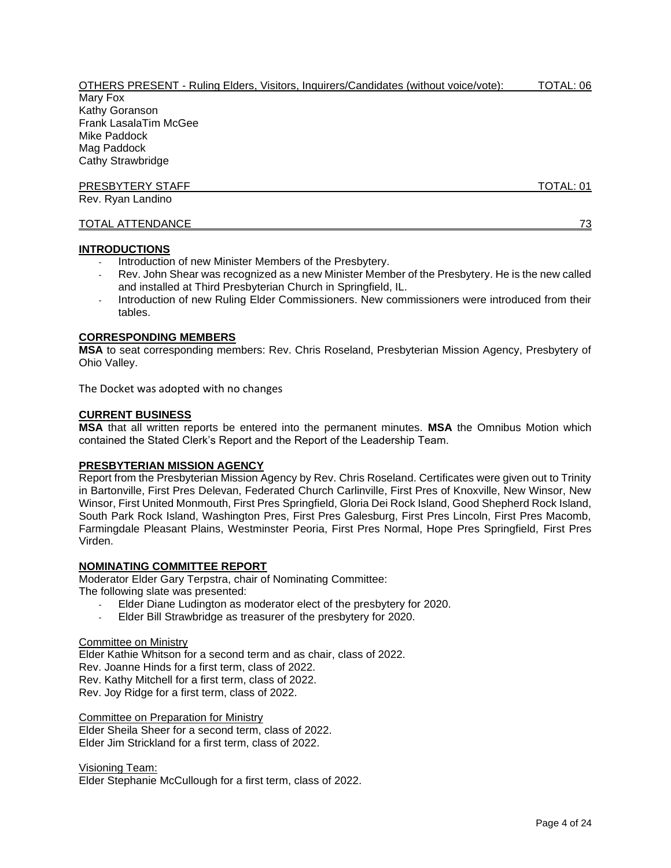| OTHERS PRESENT - Ruling Elders, Visitors, Inquirers/Candidates (without voice/vote): | TOTAL: 06 |
|--------------------------------------------------------------------------------------|-----------|
| Mary Fox                                                                             |           |
| Kathy Goranson                                                                       |           |
| <b>Frank LasalaTim McGee</b>                                                         |           |
| Mike Paddock                                                                         |           |
| Mag Paddock                                                                          |           |
| <b>Cathy Strawbridge</b>                                                             |           |
| <b>PRESBYTERY STAFF</b>                                                              | TOTAL: 01 |
| Rev. Ryan Landino                                                                    |           |
| TOTAL ATTENDANCE                                                                     | 73        |

### **INTRODUCTIONS**

- Introduction of new Minister Members of the Presbytery.
- Rev. John Shear was recognized as a new Minister Member of the Presbytery. He is the new called and installed at Third Presbyterian Church in Springfield, IL.
- Introduction of new Ruling Elder Commissioners. New commissioners were introduced from their tables.

## **CORRESPONDING MEMBERS**

**MSA** to seat corresponding members: Rev. Chris Roseland, Presbyterian Mission Agency, Presbytery of Ohio Valley.

The Docket was adopted with no changes

### **CURRENT BUSINESS**

**MSA** that all written reports be entered into the permanent minutes. **MSA** the Omnibus Motion which contained the Stated Clerk's Report and the Report of the Leadership Team.

### **PRESBYTERIAN MISSION AGENCY**

Report from the Presbyterian Mission Agency by Rev. Chris Roseland. Certificates were given out to Trinity in Bartonville, First Pres Delevan, Federated Church Carlinville, First Pres of Knoxville, New Winsor, New Winsor, First United Monmouth, First Pres Springfield, Gloria Dei Rock Island, Good Shepherd Rock Island, South Park Rock Island, Washington Pres, First Pres Galesburg, First Pres Lincoln, First Pres Macomb, Farmingdale Pleasant Plains, Westminster Peoria, First Pres Normal, Hope Pres Springfield, First Pres Virden.

### **NOMINATING COMMITTEE REPORT**

Moderator Elder Gary Terpstra, chair of Nominating Committee:

The following slate was presented:

- Elder Diane Ludington as moderator elect of the presbytery for 2020.
- Elder Bill Strawbridge as treasurer of the presbytery for 2020.

#### Committee on Ministry

Elder Kathie Whitson for a second term and as chair, class of 2022. Rev. Joanne Hinds for a first term, class of 2022. Rev. Kathy Mitchell for a first term, class of 2022. Rev. Joy Ridge for a first term, class of 2022.

Committee on Preparation for Ministry Elder Sheila Sheer for a second term, class of 2022. Elder Jim Strickland for a first term, class of 2022.

Visioning Team:

Elder Stephanie McCullough for a first term, class of 2022.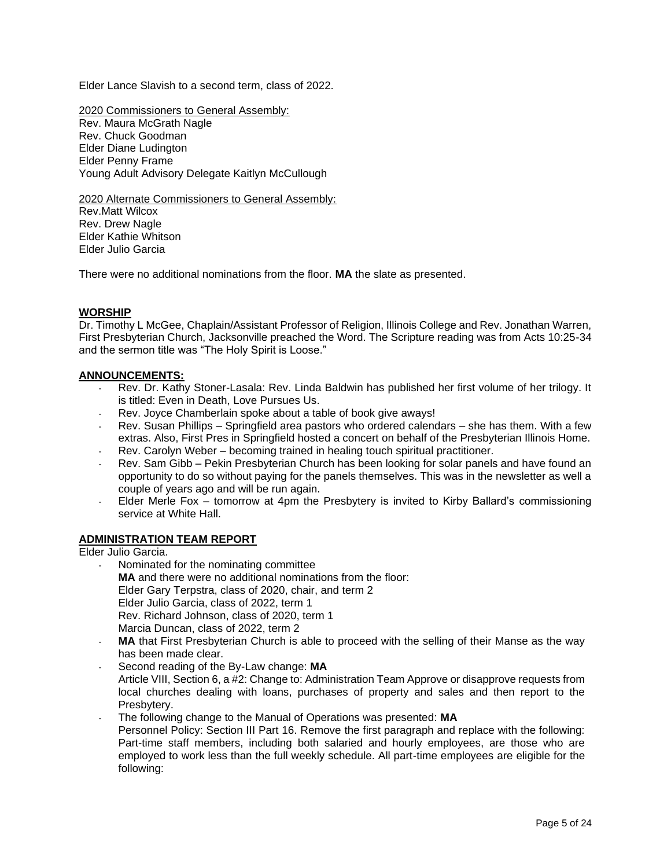Elder Lance Slavish to a second term, class of 2022.

2020 Commissioners to General Assembly: Rev. Maura McGrath Nagle Rev. Chuck Goodman Elder Diane Ludington Elder Penny Frame Young Adult Advisory Delegate Kaitlyn McCullough

2020 Alternate Commissioners to General Assembly: Rev.Matt Wilcox Rev. Drew Nagle Elder Kathie Whitson Elder Julio Garcia

There were no additional nominations from the floor. **MA** the slate as presented.

## **WORSHIP**

Dr. Timothy L McGee, Chaplain/Assistant Professor of Religion, Illinois College and Rev. Jonathan Warren, First Presbyterian Church, Jacksonville preached the Word. The Scripture reading was from Acts 10:25-34 and the sermon title was "The Holy Spirit is Loose."

### **ANNOUNCEMENTS:**

- Rev. Dr. Kathy Stoner-Lasala: Rev. Linda Baldwin has published her first volume of her trilogy. It is titled: Even in Death, Love Pursues Us.
- Rev. Joyce Chamberlain spoke about a table of book give aways!
- Rev. Susan Phillips Springfield area pastors who ordered calendars she has them. With a few extras. Also, First Pres in Springfield hosted a concert on behalf of the Presbyterian Illinois Home.
- Rev. Carolyn Weber becoming trained in healing touch spiritual practitioner.
- Rev. Sam Gibb Pekin Presbyterian Church has been looking for solar panels and have found an opportunity to do so without paying for the panels themselves. This was in the newsletter as well a couple of years ago and will be run again.
- Elder Merle Fox tomorrow at 4pm the Presbytery is invited to Kirby Ballard's commissioning service at White Hall.

### **ADMINISTRATION TEAM REPORT**

Elder Julio Garcia.

- Nominated for the nominating committee **MA** and there were no additional nominations from the floor: Elder Gary Terpstra, class of 2020, chair, and term 2 Elder Julio Garcia, class of 2022, term 1 Rev. Richard Johnson, class of 2020, term 1 Marcia Duncan, class of 2022, term 2
- MA that First Presbyterian Church is able to proceed with the selling of their Manse as the way has been made clear.
- Second reading of the By-Law change: **MA** Article VIII, Section 6, a #2: Change to: Administration Team Approve or disapprove requests from local churches dealing with loans, purchases of property and sales and then report to the Presbytery.
- The following change to the Manual of Operations was presented: **MA** Personnel Policy: Section III Part 16. Remove the first paragraph and replace with the following: Part-time staff members, including both salaried and hourly employees, are those who are employed to work less than the full weekly schedule. All part-time employees are eligible for the following: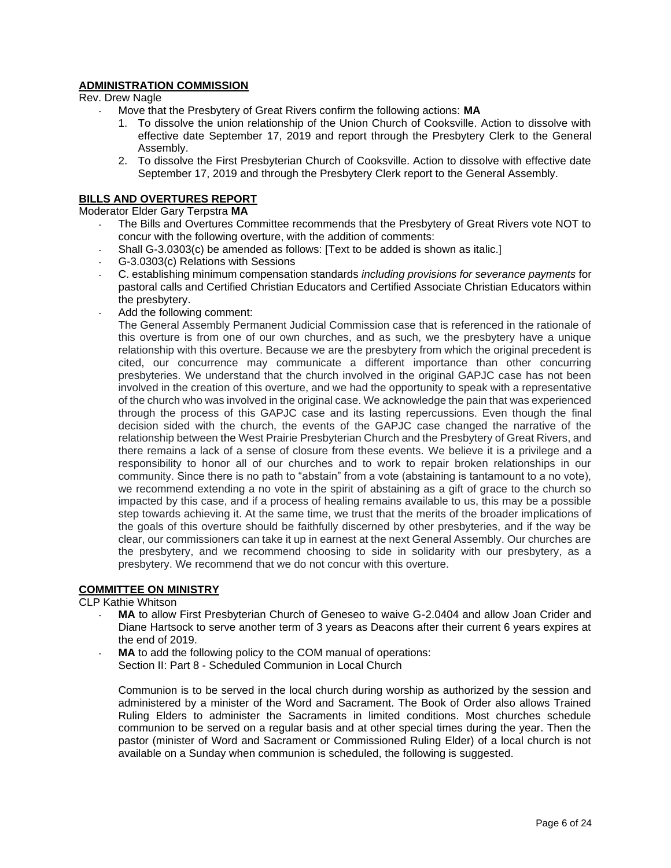# **ADMINISTRATION COMMISSION**

Rev. Drew Nagle

- Move that the Presbytery of Great Rivers confirm the following actions: **MA**
	- 1. To dissolve the union relationship of the Union Church of Cooksville. Action to dissolve with effective date September 17, 2019 and report through the Presbytery Clerk to the General Assembly.
	- 2. To dissolve the First Presbyterian Church of Cooksville. Action to dissolve with effective date September 17, 2019 and through the Presbytery Clerk report to the General Assembly.

# **BILLS AND OVERTURES REPORT**

Moderator Elder Gary Terpstra **MA**

- The Bills and Overtures Committee recommends that the Presbytery of Great Rivers vote NOT to concur with the following overture, with the addition of comments:
- Shall G-3.0303(c) be amended as follows: [Text to be added is shown as italic.]
- G-3.0303(c) Relations with Sessions
- C. establishing minimum compensation standards *including provisions for severance payments* for pastoral calls and Certified Christian Educators and Certified Associate Christian Educators within the presbytery.
- Add the following comment:

The General Assembly Permanent Judicial Commission case that is referenced in the rationale of this overture is from one of our own churches, and as such, we the presbytery have a unique relationship with this overture. Because we are the presbytery from which the original precedent is cited, our concurrence may communicate a different importance than other concurring presbyteries. We understand that the church involved in the original GAPJC case has not been involved in the creation of this overture, and we had the opportunity to speak with a representative of the church who was involved in the original case. We acknowledge the pain that was experienced through the process of this GAPJC case and its lasting repercussions. Even though the final decision sided with the church, the events of the GAPJC case changed the narrative of the relationship between the West Prairie Presbyterian Church and the Presbytery of Great Rivers, and there remains a lack of a sense of closure from these events. We believe it is a privilege and a responsibility to honor all of our churches and to work to repair broken relationships in our community. Since there is no path to "abstain" from a vote (abstaining is tantamount to a no vote), we recommend extending a no vote in the spirit of abstaining as a gift of grace to the church so impacted by this case, and if a process of healing remains available to us, this may be a possible step towards achieving it. At the same time, we trust that the merits of the broader implications of the goals of this overture should be faithfully discerned by other presbyteries, and if the way be clear, our commissioners can take it up in earnest at the next General Assembly. Our churches are the presbytery, and we recommend choosing to side in solidarity with our presbytery, as a presbytery. We recommend that we do not concur with this overture.

## **COMMITTEE ON MINISTRY**

CLP Kathie Whitson

- **MA** to allow First Presbyterian Church of Geneseo to waive G-2.0404 and allow Joan Crider and Diane Hartsock to serve another term of 3 years as Deacons after their current 6 years expires at the end of 2019.
- MA to add the following policy to the COM manual of operations: Section II: Part 8 - Scheduled Communion in Local Church

Communion is to be served in the local church during worship as authorized by the session and administered by a minister of the Word and Sacrament. The Book of Order also allows Trained Ruling Elders to administer the Sacraments in limited conditions. Most churches schedule communion to be served on a regular basis and at other special times during the year. Then the pastor (minister of Word and Sacrament or Commissioned Ruling Elder) of a local church is not available on a Sunday when communion is scheduled, the following is suggested.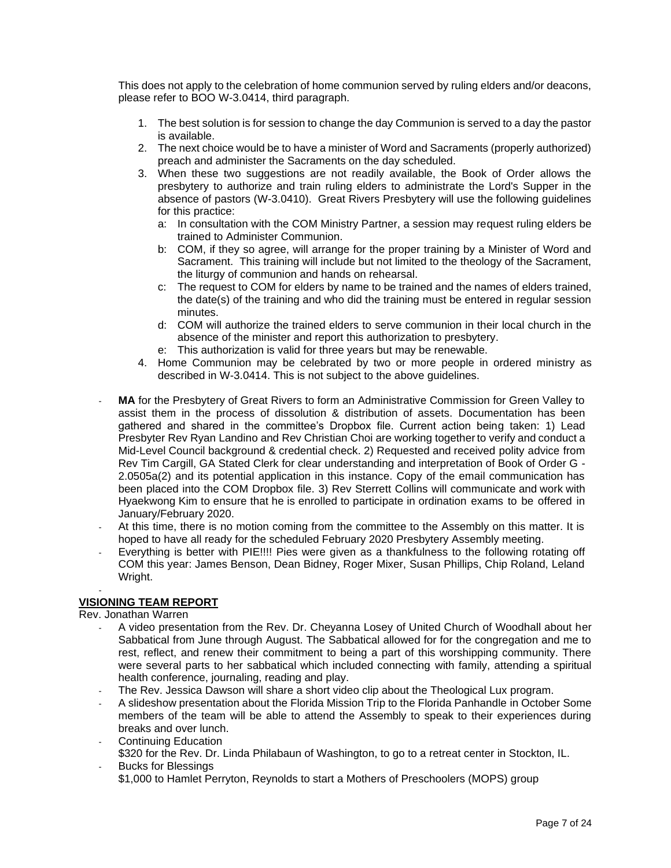This does not apply to the celebration of home communion served by ruling elders and/or deacons, please refer to BOO W-3.0414, third paragraph.

- 1. The best solution is for session to change the day Communion is served to a day the pastor is available.
- 2. The next choice would be to have a minister of Word and Sacraments (properly authorized) preach and administer the Sacraments on the day scheduled.
- 3. When these two suggestions are not readily available, the Book of Order allows the presbytery to authorize and train ruling elders to administrate the Lord's Supper in the absence of pastors (W-3.0410). Great Rivers Presbytery will use the following guidelines for this practice:
	- a: In consultation with the COM Ministry Partner, a session may request ruling elders be trained to Administer Communion.
	- b: COM, if they so agree, will arrange for the proper training by a Minister of Word and Sacrament. This training will include but not limited to the theology of the Sacrament, the liturgy of communion and hands on rehearsal.
	- c: The request to COM for elders by name to be trained and the names of elders trained, the date(s) of the training and who did the training must be entered in regular session minutes.
	- d: COM will authorize the trained elders to serve communion in their local church in the absence of the minister and report this authorization to presbytery.
	- e: This authorization is valid for three years but may be renewable.
- 4. Home Communion may be celebrated by two or more people in ordered ministry as described in W-3.0414. This is not subject to the above guidelines.
- **MA** for the Presbytery of Great Rivers to form an Administrative Commission for Green Valley to assist them in the process of dissolution & distribution of assets. Documentation has been gathered and shared in the committee's Dropbox file. Current action being taken: 1) Lead Presbyter Rev Ryan Landino and Rev Christian Choi are working together to verify and conduct a Mid-Level Council background & credential check. 2) Requested and received polity advice from Rev Tim Cargill, GA Stated Clerk for clear understanding and interpretation of Book of Order G - 2.0505a(2) and its potential application in this instance. Copy of the email communication has been placed into the COM Dropbox file. 3) Rev Sterrett Collins will communicate and work with Hyaekwong Kim to ensure that he is enrolled to participate in ordination exams to be offered in January/February 2020.
- At this time, there is no motion coming from the committee to the Assembly on this matter. It is hoped to have all ready for the scheduled February 2020 Presbytery Assembly meeting.
- Everything is better with PIE!!!! Pies were given as a thankfulness to the following rotating off COM this year: James Benson, Dean Bidney, Roger Mixer, Susan Phillips, Chip Roland, Leland Wright.

#### - **VISIONING TEAM REPORT**

Rev. Jonathan Warren

- A video presentation from the Rev. Dr. Cheyanna Losey of United Church of Woodhall about her Sabbatical from June through August. The Sabbatical allowed for for the congregation and me to rest, reflect, and renew their commitment to being a part of this worshipping community. There were several parts to her sabbatical which included connecting with family, attending a spiritual health conference, journaling, reading and play.
- The Rev. Jessica Dawson will share a short video clip about the Theological Lux program.
- A slideshow presentation about the Florida Mission Trip to the Florida Panhandle in October Some members of the team will be able to attend the Assembly to speak to their experiences during breaks and over lunch.
- Continuing Education \$320 for the Rev. Dr. Linda Philabaun of Washington, to go to a retreat center in Stockton, IL.
- Bucks for Blessings \$1,000 to Hamlet Perryton, Reynolds to start a Mothers of Preschoolers (MOPS) group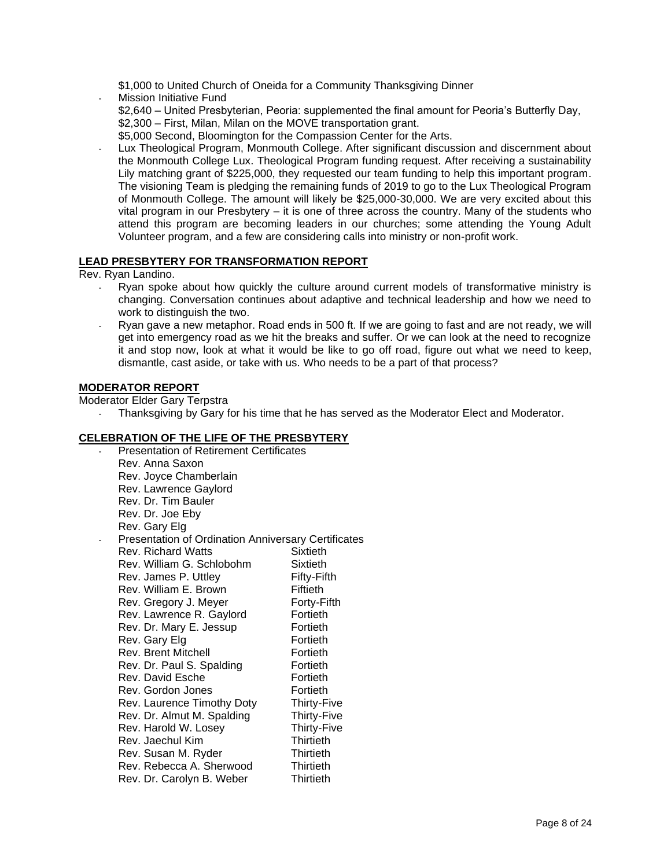\$1,000 to United Church of Oneida for a Community Thanksgiving Dinner

- Mission Initiative Fund \$2,640 – United Presbyterian, Peoria: supplemented the final amount for Peoria's Butterfly Day, \$2,300 – First, Milan, Milan on the MOVE transportation grant. \$5,000 Second, Bloomington for the Compassion Center for the Arts.
- Lux Theological Program, Monmouth College. After significant discussion and discernment about the Monmouth College Lux. Theological Program funding request. After receiving a sustainability Lily matching grant of \$225,000, they requested our team funding to help this important program. The visioning Team is pledging the remaining funds of 2019 to go to the Lux Theological Program of Monmouth College. The amount will likely be \$25,000-30,000. We are very excited about this vital program in our Presbytery – it is one of three across the country. Many of the students who attend this program are becoming leaders in our churches; some attending the Young Adult Volunteer program, and a few are considering calls into ministry or non-profit work.

## **LEAD PRESBYTERY FOR TRANSFORMATION REPORT**

Rev. Ryan Landino.

- Ryan spoke about how quickly the culture around current models of transformative ministry is changing. Conversation continues about adaptive and technical leadership and how we need to work to distinguish the two.
- Ryan gave a new metaphor. Road ends in 500 ft. If we are going to fast and are not ready, we will get into emergency road as we hit the breaks and suffer. Or we can look at the need to recognize it and stop now, look at what it would be like to go off road, figure out what we need to keep, dismantle, cast aside, or take with us. Who needs to be a part of that process?

## **MODERATOR REPORT**

Moderator Elder Gary Terpstra

Thanksgiving by Gary for his time that he has served as the Moderator Elect and Moderator.

# **CELEBRATION OF THE LIFE OF THE PRESBYTERY**

Presentation of Retirement Certificates Rev. Anna Saxon Rev. Joyce Chamberlain Rev. Lawrence Gaylord Rev. Dr. Tim Bauler Rev. Dr. Joe Eby Rev. Gary Elg Presentation of Ordination Anniversary Certificates Rev. Richard Watts Sixtieth Rev. William G. Schlobohm Sixtieth Rev. James P. Uttley Fifty-Fifth Rev. William E. Brown Fiftieth Rev. Gregory J. Meyer **Forty-Fifth**<br>Rev. Lawrence R. Gavlord Fortieth Rev. Lawrence R. Gaylord Rev. Dr. Mary E. Jessup Fortieth Rev. Gary Elg **Fortieth** Rev. Brent Mitchell **Fortieth** Rev. Dr. Paul S. Spalding Fortieth Rev. David Esche Fortieth Rev. Gordon Jones **Fortieth** Rev. Laurence Timothy Doty Thirty-Five Rev. Dr. Almut M. Spalding Thirty-Five Rev. Harold W. Losey Thirty-Five Rev. Jaechul Kim **Thirtieth (Thirtieth Thirtieth**<br>Rev. Susan M. Ryder (Thirtieth Rev. Susan M. Ryder Thirtieth<br>Rev. Rebecca A. Sherwood Thirtieth Rev. Rebecca A. Sherwood Rev. Dr. Carolyn B. Weber Thirtieth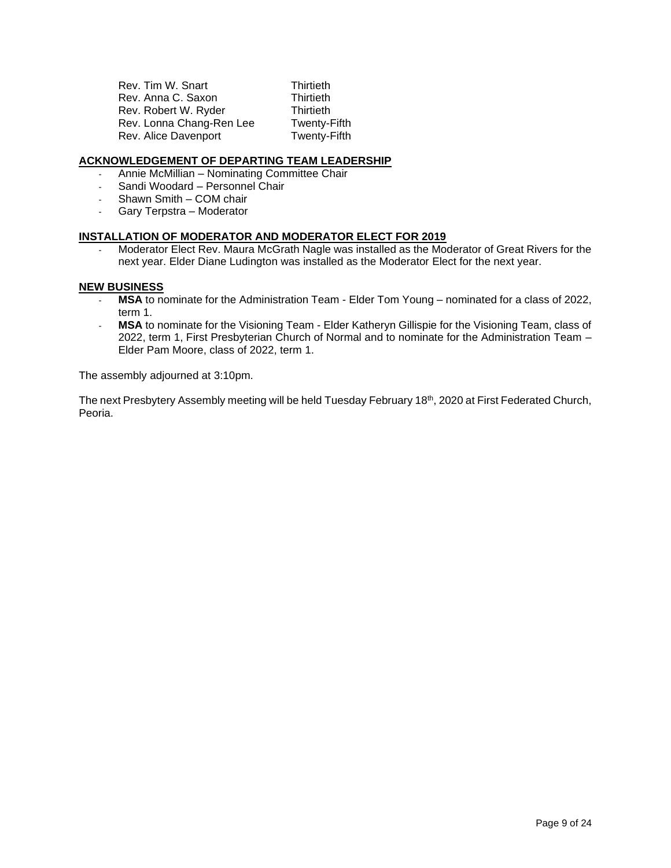Rev. Tim W. Snart Thirtieth Rev. Anna C. Saxon Thirtieth Rev. Robert W. Ryder Thirtieth Rev. Lonna Chang-Ren Lee Twenty-Fifth Rev. Alice Davenport Twenty-Fifth

### **ACKNOWLEDGEMENT OF DEPARTING TEAM LEADERSHIP**

- Annie McMillian Nominating Committee Chair
- Sandi Woodard Personnel Chair
- Shawn Smith COM chair
- Gary Terpstra Moderator

## **INSTALLATION OF MODERATOR AND MODERATOR ELECT FOR 2019**

- Moderator Elect Rev. Maura McGrath Nagle was installed as the Moderator of Great Rivers for the next year. Elder Diane Ludington was installed as the Moderator Elect for the next year.

### **NEW BUSINESS**

- **MSA** to nominate for the Administration Team Elder Tom Young nominated for a class of 2022, term 1.
- **MSA** to nominate for the Visioning Team Elder Katheryn Gillispie for the Visioning Team, class of 2022, term 1, First Presbyterian Church of Normal and to nominate for the Administration Team – Elder Pam Moore, class of 2022, term 1.

The assembly adjourned at 3:10pm.

The next Presbytery Assembly meeting will be held Tuesday February 18<sup>th</sup>, 2020 at First Federated Church, Peoria.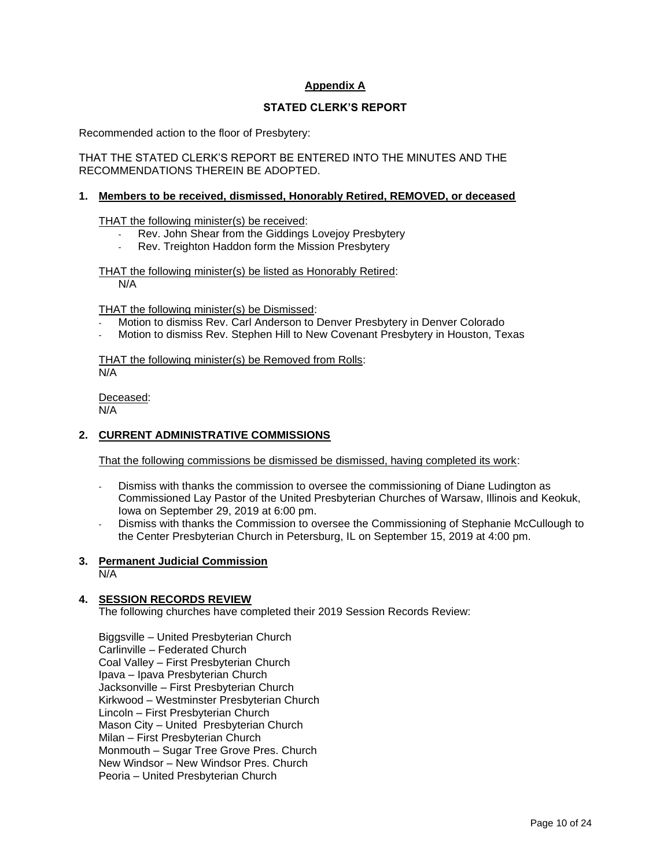# **Appendix A**

## **STATED CLERK'S REPORT**

Recommended action to the floor of Presbytery:

THAT THE STATED CLERK'S REPORT BE ENTERED INTO THE MINUTES AND THE RECOMMENDATIONS THEREIN BE ADOPTED.

#### **1. Members to be received, dismissed, Honorably Retired, REMOVED, or deceased**

THAT the following minister(s) be received:

- Rev. John Shear from the Giddings Lovejoy Presbytery
- Rev. Treighton Haddon form the Mission Presbytery

THAT the following minister(s) be listed as Honorably Retired: N/A

THAT the following minister(s) be Dismissed:

- Motion to dismiss Rev. Carl Anderson to Denver Presbytery in Denver Colorado
- Motion to dismiss Rev. Stephen Hill to New Covenant Presbytery in Houston, Texas

THAT the following minister(s) be Removed from Rolls: N/A

Deceased: N/A

### **2. CURRENT ADMINISTRATIVE COMMISSIONS**

That the following commissions be dismissed be dismissed, having completed its work:

- Dismiss with thanks the commission to oversee the commissioning of Diane Ludington as Commissioned Lay Pastor of the United Presbyterian Churches of Warsaw, Illinois and Keokuk, Iowa on September 29, 2019 at 6:00 pm.
- Dismiss with thanks the Commission to oversee the Commissioning of Stephanie McCullough to the Center Presbyterian Church in Petersburg, IL on September 15, 2019 at 4:00 pm.

### **3. Permanent Judicial Commission**

 $\overline{\mathsf{N/A}}$ 

# **4. SESSION RECORDS REVIEW**

The following churches have completed their 2019 Session Records Review:

Biggsville – United Presbyterian Church Carlinville – Federated Church Coal Valley – First Presbyterian Church Ipava – Ipava Presbyterian Church Jacksonville – First Presbyterian Church Kirkwood – Westminster Presbyterian Church Lincoln – First Presbyterian Church Mason City – United Presbyterian Church Milan – First Presbyterian Church Monmouth – Sugar Tree Grove Pres. Church New Windsor – New Windsor Pres. Church Peoria – United Presbyterian Church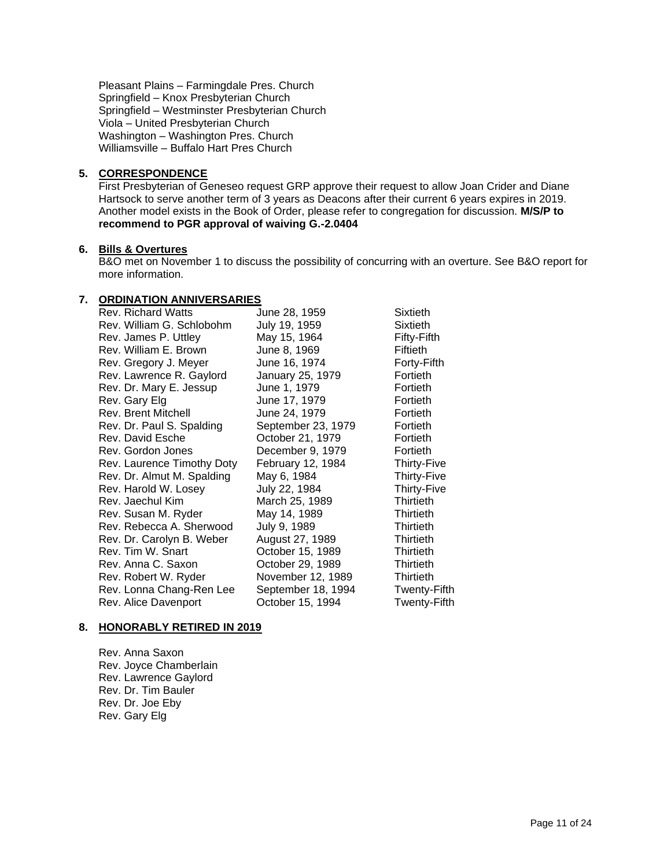Pleasant Plains – Farmingdale Pres. Church Springfield – Knox Presbyterian Church Springfield – Westminster Presbyterian Church Viola – United Presbyterian Church Washington – Washington Pres. Church Williamsville – Buffalo Hart Pres Church

## **5. CORRESPONDENCE**

First Presbyterian of Geneseo request GRP approve their request to allow Joan Crider and Diane Hartsock to serve another term of 3 years as Deacons after their current 6 years expires in 2019. Another model exists in the Book of Order, please refer to congregation for discussion. **M/S/P to recommend to PGR approval of waiving G.-2.0404**

## **6. Bills & Overtures**

B&O met on November 1 to discuss the possibility of concurring with an overture. See B&O report for more information.

## **7. ORDINATION ANNIVERSARIES**

| <b>Rev. Richard Watts</b>  | June 28, 1959      | Sixtieth            |
|----------------------------|--------------------|---------------------|
| Rev. William G. Schlobohm  | July 19, 1959      | Sixtieth            |
| Rev. James P. Uttley       | May 15, 1964       | Fifty-Fifth         |
| Rev. William E. Brown      | June 8, 1969       | Fiftieth            |
| Rev. Gregory J. Meyer      | June 16, 1974      | Forty-Fifth         |
| Rev. Lawrence R. Gaylord   | January 25, 1979   | Fortieth            |
| Rev. Dr. Mary E. Jessup    | June 1, 1979       | Fortieth            |
| Rev. Gary Elg              | June 17, 1979      | Fortieth            |
| Rev. Brent Mitchell        | June 24, 1979      | Fortieth            |
| Rev. Dr. Paul S. Spalding  | September 23, 1979 | Fortieth            |
| Rev. David Esche           | October 21, 1979   | Fortieth            |
| Rev. Gordon Jones          | December 9, 1979   | Fortieth            |
| Rev. Laurence Timothy Doty | February 12, 1984  | Thirty-Five         |
| Rev. Dr. Almut M. Spalding | May 6, 1984        | Thirty-Five         |
| Rev. Harold W. Losey       | July 22, 1984      | <b>Thirty-Five</b>  |
| Rev. Jaechul Kim           | March 25, 1989     | Thirtieth           |
| Rev. Susan M. Ryder        | May 14, 1989       | Thirtieth           |
| Rev. Rebecca A. Sherwood   | July 9, 1989       | <b>Thirtieth</b>    |
| Rev. Dr. Carolyn B. Weber  | August 27, 1989    | <b>Thirtieth</b>    |
| Rev. Tim W. Snart          | October 15, 1989   | Thirtieth           |
| Rev. Anna C. Saxon         | October 29, 1989   | <b>Thirtieth</b>    |
| Rev. Robert W. Ryder       | November 12, 1989  | Thirtieth           |
| Rev. Lonna Chang-Ren Lee   | September 18, 1994 | Twenty-Fifth        |
| Rev. Alice Davenport       | October 15, 1994   | <b>Twenty-Fifth</b> |

# **8. HONORABLY RETIRED IN 2019**

Rev. Anna Saxon Rev. Joyce Chamberlain Rev. Lawrence Gaylord Rev. Dr. Tim Bauler Rev. Dr. Joe Eby Rev. Gary Elg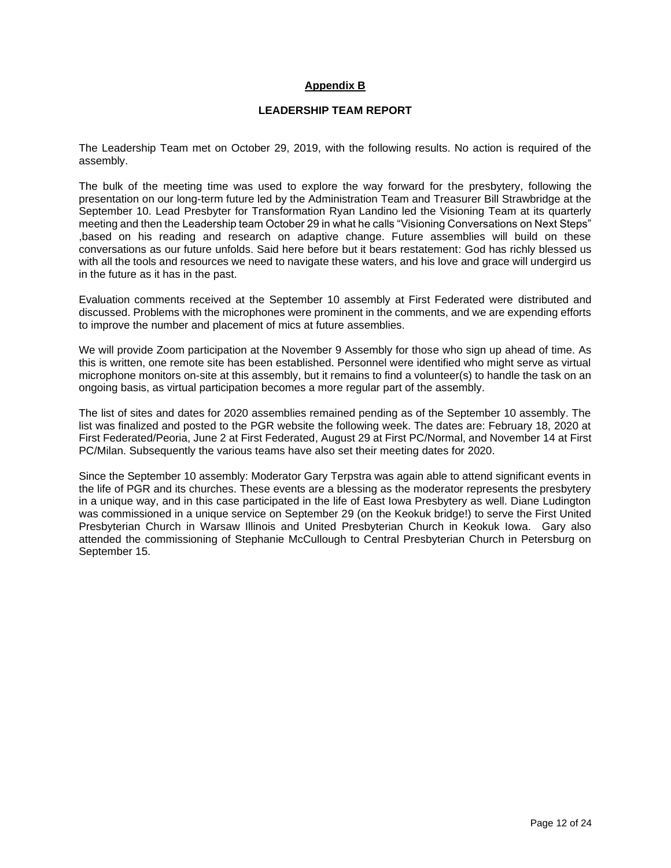## **Appendix B**

#### **LEADERSHIP TEAM REPORT**

The Leadership Team met on October 29, 2019, with the following results. No action is required of the assembly.

The bulk of the meeting time was used to explore the way forward for the presbytery, following the presentation on our long-term future led by the Administration Team and Treasurer Bill Strawbridge at the September 10. Lead Presbyter for Transformation Ryan Landino led the Visioning Team at its quarterly meeting and then the Leadership team October 29 in what he calls "Visioning Conversations on Next Steps" ,based on his reading and research on adaptive change. Future assemblies will build on these conversations as our future unfolds. Said here before but it bears restatement: God has richly blessed us with all the tools and resources we need to navigate these waters, and his love and grace will undergird us in the future as it has in the past.

Evaluation comments received at the September 10 assembly at First Federated were distributed and discussed. Problems with the microphones were prominent in the comments, and we are expending efforts to improve the number and placement of mics at future assemblies.

We will provide Zoom participation at the November 9 Assembly for those who sign up ahead of time. As this is written, one remote site has been established. Personnel were identified who might serve as virtual microphone monitors on-site at this assembly, but it remains to find a volunteer(s) to handle the task on an ongoing basis, as virtual participation becomes a more regular part of the assembly.

The list of sites and dates for 2020 assemblies remained pending as of the September 10 assembly. The list was finalized and posted to the PGR website the following week. The dates are: February 18, 2020 at First Federated/Peoria, June 2 at First Federated, August 29 at First PC/Normal, and November 14 at First PC/Milan. Subsequently the various teams have also set their meeting dates for 2020.

Since the September 10 assembly: Moderator Gary Terpstra was again able to attend significant events in the life of PGR and its churches. These events are a blessing as the moderator represents the presbytery in a unique way, and in this case participated in the life of East Iowa Presbytery as well. Diane Ludington was commissioned in a unique service on September 29 (on the Keokuk bridge!) to serve the First United Presbyterian Church in Warsaw Illinois and United Presbyterian Church in Keokuk Iowa. Gary also attended the commissioning of Stephanie McCullough to Central Presbyterian Church in Petersburg on September 15.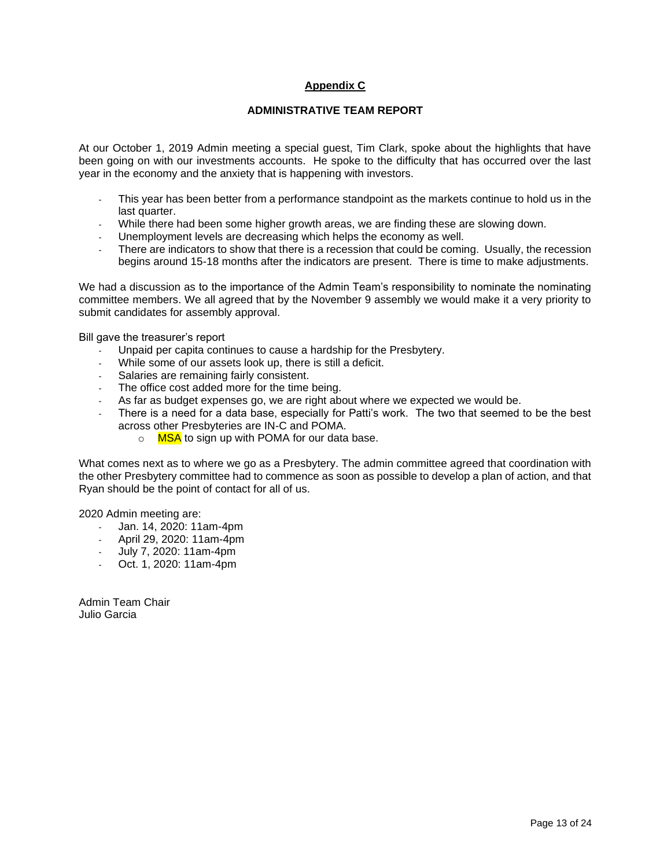# **Appendix C**

#### **ADMINISTRATIVE TEAM REPORT**

At our October 1, 2019 Admin meeting a special guest, Tim Clark, spoke about the highlights that have been going on with our investments accounts. He spoke to the difficulty that has occurred over the last year in the economy and the anxiety that is happening with investors.

- This year has been better from a performance standpoint as the markets continue to hold us in the last quarter.
- While there had been some higher growth areas, we are finding these are slowing down.
- Unemployment levels are decreasing which helps the economy as well.
- There are indicators to show that there is a recession that could be coming. Usually, the recession begins around 15-18 months after the indicators are present. There is time to make adjustments.

We had a discussion as to the importance of the Admin Team's responsibility to nominate the nominating committee members. We all agreed that by the November 9 assembly we would make it a very priority to submit candidates for assembly approval.

Bill gave the treasurer's report

- Unpaid per capita continues to cause a hardship for the Presbytery.
- While some of our assets look up, there is still a deficit.
- Salaries are remaining fairly consistent.
- The office cost added more for the time being.
- As far as budget expenses go, we are right about where we expected we would be.
- There is a need for a data base, especially for Patti's work. The two that seemed to be the best across other Presbyteries are IN-C and POMA.
	- o MSA to sign up with POMA for our data base.

What comes next as to where we go as a Presbytery. The admin committee agreed that coordination with the other Presbytery committee had to commence as soon as possible to develop a plan of action, and that Ryan should be the point of contact for all of us.

2020 Admin meeting are:

- Jan. 14, 2020: 11am-4pm
- April 29, 2020: 11am-4pm
- July 7, 2020: 11am-4pm
- Oct. 1, 2020: 11am-4pm

Admin Team Chair Julio Garcia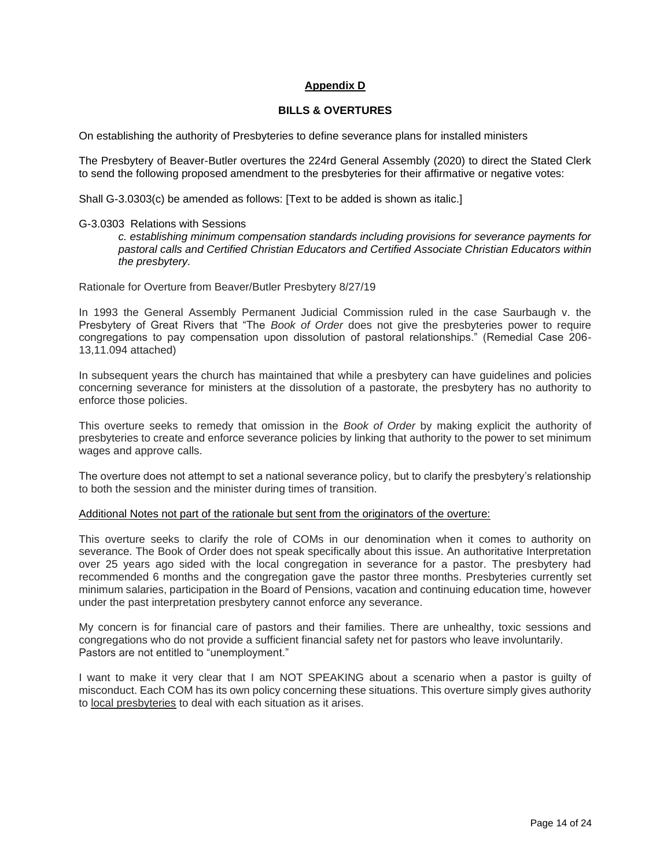## **Appendix D**

#### **BILLS & OVERTURES**

On establishing the authority of Presbyteries to define severance plans for installed ministers

The Presbytery of Beaver-Butler overtures the 224rd General Assembly (2020) to direct the Stated Clerk to send the following proposed amendment to the presbyteries for their affirmative or negative votes:

Shall G-3.0303(c) be amended as follows: [Text to be added is shown as italic.]

#### G-3.0303 Relations with Sessions

*c. establishing minimum compensation standards including provisions for severance payments for pastoral calls and Certified Christian Educators and Certified Associate Christian Educators within the presbytery.*

Rationale for Overture from Beaver/Butler Presbytery 8/27/19

In 1993 the General Assembly Permanent Judicial Commission ruled in the case Saurbaugh v. the Presbytery of Great Rivers that "The *Book of Order* does not give the presbyteries power to require congregations to pay compensation upon dissolution of pastoral relationships." (Remedial Case 206- 13,11.094 attached)

In subsequent years the church has maintained that while a presbytery can have guidelines and policies concerning severance for ministers at the dissolution of a pastorate, the presbytery has no authority to enforce those policies.

This overture seeks to remedy that omission in the *Book of Order* by making explicit the authority of presbyteries to create and enforce severance policies by linking that authority to the power to set minimum wages and approve calls.

The overture does not attempt to set a national severance policy, but to clarify the presbytery's relationship to both the session and the minister during times of transition.

#### Additional Notes not part of the rationale but sent from the originators of the overture:

This overture seeks to clarify the role of COMs in our denomination when it comes to authority on severance. The Book of Order does not speak specifically about this issue. An authoritative Interpretation over 25 years ago sided with the local congregation in severance for a pastor. The presbytery had recommended 6 months and the congregation gave the pastor three months. Presbyteries currently set minimum salaries, participation in the Board of Pensions, vacation and continuing education time, however under the past interpretation presbytery cannot enforce any severance.

My concern is for financial care of pastors and their families. There are unhealthy, toxic sessions and congregations who do not provide a sufficient financial safety net for pastors who leave involuntarily. Pastors are not entitled to "unemployment."

I want to make it very clear that I am NOT SPEAKING about a scenario when a pastor is guilty of misconduct. Each COM has its own policy concerning these situations. This overture simply gives authority to local presbyteries to deal with each situation as it arises.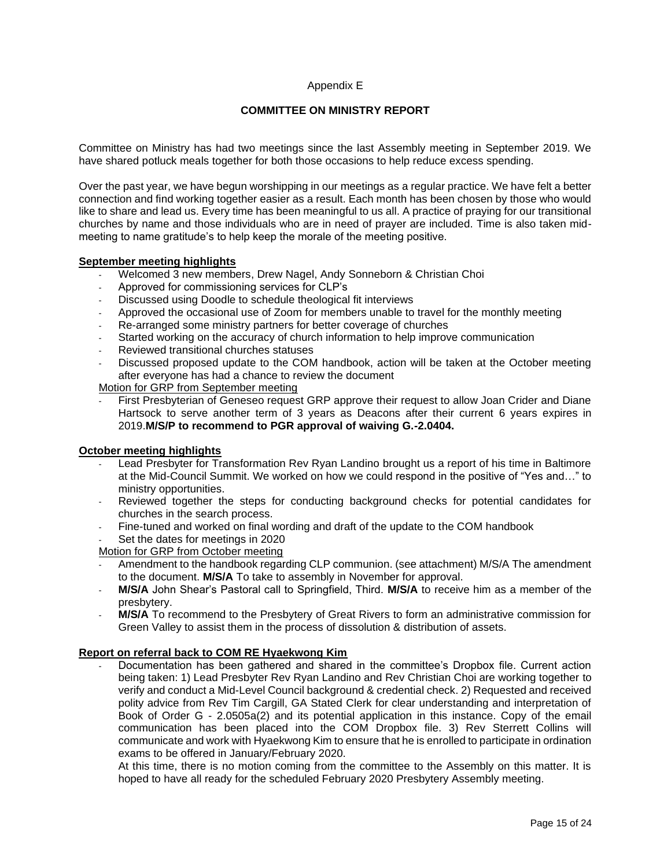## Appendix E

## **COMMITTEE ON MINISTRY REPORT**

Committee on Ministry has had two meetings since the last Assembly meeting in September 2019. We have shared potluck meals together for both those occasions to help reduce excess spending.

Over the past year, we have begun worshipping in our meetings as a regular practice. We have felt a better connection and find working together easier as a result. Each month has been chosen by those who would like to share and lead us. Every time has been meaningful to us all. A practice of praying for our transitional churches by name and those individuals who are in need of prayer are included. Time is also taken midmeeting to name gratitude's to help keep the morale of the meeting positive.

### **September meeting highlights**

- Welcomed 3 new members, Drew Nagel, Andy Sonneborn & Christian Choi
- Approved for commissioning services for CLP's
- Discussed using Doodle to schedule theological fit interviews
- Approved the occasional use of Zoom for members unable to travel for the monthly meeting
- Re-arranged some ministry partners for better coverage of churches
- Started working on the accuracy of church information to help improve communication
- Reviewed transitional churches statuses
- Discussed proposed update to the COM handbook, action will be taken at the October meeting after everyone has had a chance to review the document

Motion for GRP from September meeting

First Presbyterian of Geneseo request GRP approve their request to allow Joan Crider and Diane Hartsock to serve another term of 3 years as Deacons after their current 6 years expires in 2019.**M/S/P to recommend to PGR approval of waiving G.-2.0404.**

### **October meeting highlights**

- Lead Presbyter for Transformation Rev Ryan Landino brought us a report of his time in Baltimore at the Mid-Council Summit. We worked on how we could respond in the positive of "Yes and…" to ministry opportunities.
- Reviewed together the steps for conducting background checks for potential candidates for churches in the search process.
- Fine-tuned and worked on final wording and draft of the update to the COM handbook
- Set the dates for meetings in 2020

Motion for GRP from October meeting

- Amendment to the handbook regarding CLP communion. (see attachment) M/S/A The amendment to the document. **M/S/A** To take to assembly in November for approval.
- **M/S/A** John Shear's Pastoral call to Springfield, Third. **M/S/A** to receive him as a member of the presbytery.
- **M/S/A** To recommend to the Presbytery of Great Rivers to form an administrative commission for Green Valley to assist them in the process of dissolution & distribution of assets.

### **Report on referral back to COM RE Hyaekwong Kim**

- Documentation has been gathered and shared in the committee's Dropbox file. Current action being taken: 1) Lead Presbyter Rev Ryan Landino and Rev Christian Choi are working together to verify and conduct a Mid-Level Council background & credential check. 2) Requested and received polity advice from Rev Tim Cargill, GA Stated Clerk for clear understanding and interpretation of Book of Order G - 2.0505a(2) and its potential application in this instance. Copy of the email communication has been placed into the COM Dropbox file. 3) Rev Sterrett Collins will communicate and work with Hyaekwong Kim to ensure that he is enrolled to participate in ordination exams to be offered in January/February 2020.

At this time, there is no motion coming from the committee to the Assembly on this matter. It is hoped to have all ready for the scheduled February 2020 Presbytery Assembly meeting.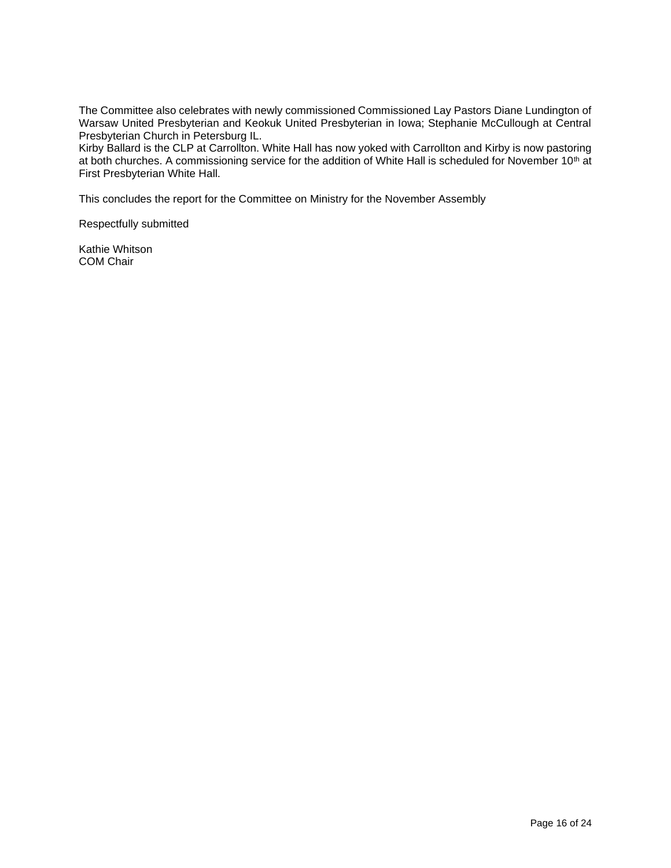The Committee also celebrates with newly commissioned Commissioned Lay Pastors Diane Lundington of Warsaw United Presbyterian and Keokuk United Presbyterian in Iowa; Stephanie McCullough at Central Presbyterian Church in Petersburg IL.

Kirby Ballard is the CLP at Carrollton. White Hall has now yoked with Carrollton and Kirby is now pastoring at both churches. A commissioning service for the addition of White Hall is scheduled for November 10<sup>th</sup> at First Presbyterian White Hall.

This concludes the report for the Committee on Ministry for the November Assembly

Respectfully submitted

Kathie Whitson COM Chair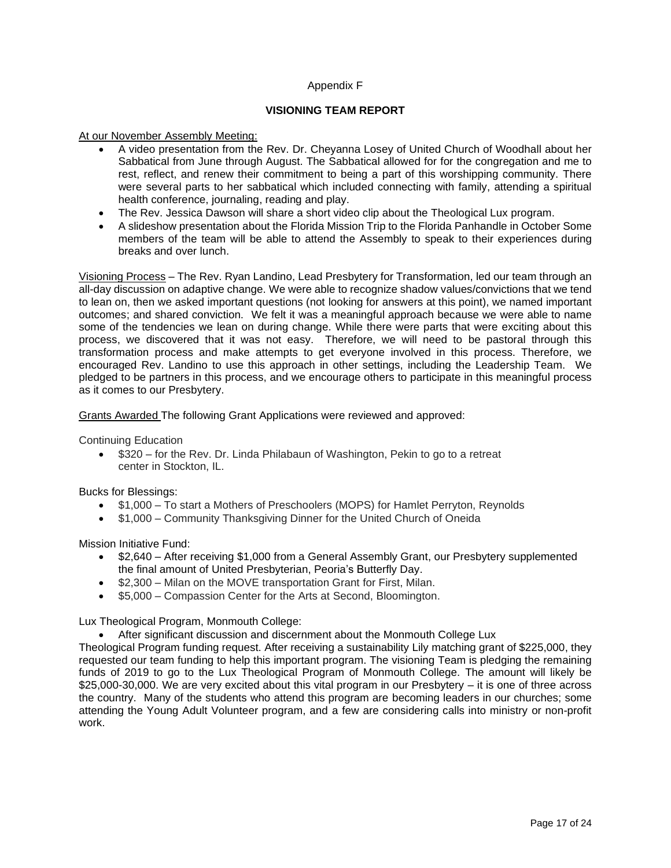## Appendix F

## **VISIONING TEAM REPORT**

At our November Assembly Meeting:

- A video presentation from the Rev. Dr. Cheyanna Losey of United Church of Woodhall about her Sabbatical from June through August. The Sabbatical allowed for for the congregation and me to rest, reflect, and renew their commitment to being a part of this worshipping community. There were several parts to her sabbatical which included connecting with family, attending a spiritual health conference, journaling, reading and play.
- The Rev. Jessica Dawson will share a short video clip about the Theological Lux program.
- A slideshow presentation about the Florida Mission Trip to the Florida Panhandle in October Some members of the team will be able to attend the Assembly to speak to their experiences during breaks and over lunch.

Visioning Process – The Rev. Ryan Landino, Lead Presbytery for Transformation, led our team through an all-day discussion on adaptive change. We were able to recognize shadow values/convictions that we tend to lean on, then we asked important questions (not looking for answers at this point), we named important outcomes; and shared conviction. We felt it was a meaningful approach because we were able to name some of the tendencies we lean on during change. While there were parts that were exciting about this process, we discovered that it was not easy. Therefore, we will need to be pastoral through this transformation process and make attempts to get everyone involved in this process. Therefore, we encouraged Rev. Landino to use this approach in other settings, including the Leadership Team. We pledged to be partners in this process, and we encourage others to participate in this meaningful process as it comes to our Presbytery.

Grants Awarded The following Grant Applications were reviewed and approved:

Continuing Education

• \$320 – for the Rev. Dr. Linda Philabaun of Washington, Pekin to go to a retreat center in Stockton, IL.

Bucks for Blessings:

- \$1,000 To start a Mothers of Preschoolers (MOPS) for Hamlet Perryton, Reynolds
- \$1,000 Community Thanksgiving Dinner for the United Church of Oneida

Mission Initiative Fund:

- \$2,640 After receiving \$1,000 from a General Assembly Grant, our Presbytery supplemented the final amount of United Presbyterian, Peoria's Butterfly Day.
- \$2,300 Milan on the MOVE transportation Grant for First, Milan.
- \$5,000 Compassion Center for the Arts at Second, Bloomington.

Lux Theological Program, Monmouth College:

• After significant discussion and discernment about the Monmouth College Lux

Theological Program funding request. After receiving a sustainability Lily matching grant of \$225,000, they requested our team funding to help this important program. The visioning Team is pledging the remaining funds of 2019 to go to the Lux Theological Program of Monmouth College. The amount will likely be \$25,000-30,000. We are very excited about this vital program in our Presbytery – it is one of three across the country. Many of the students who attend this program are becoming leaders in our churches; some attending the Young Adult Volunteer program, and a few are considering calls into ministry or non-profit work.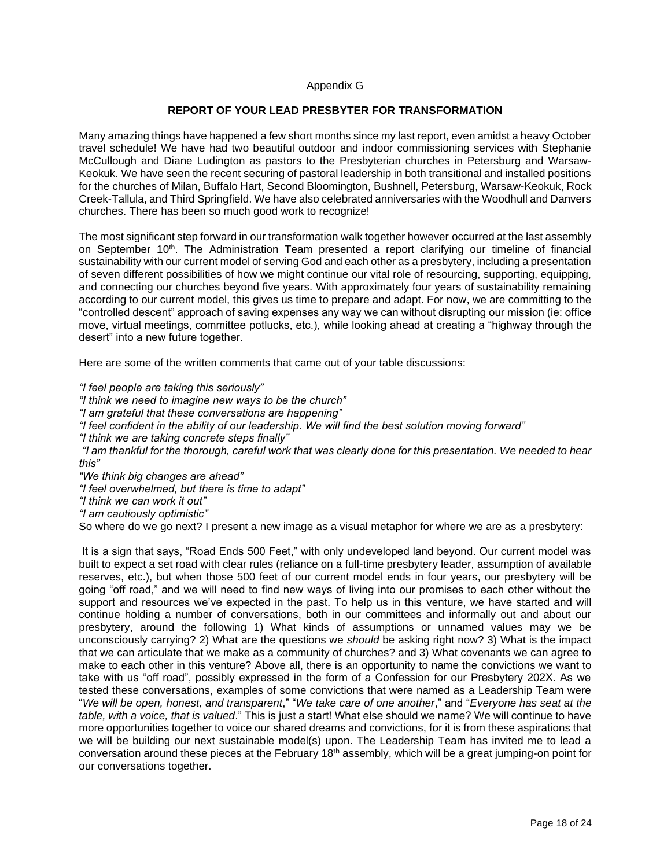## Appendix G

## **REPORT OF YOUR LEAD PRESBYTER FOR TRANSFORMATION**

Many amazing things have happened a few short months since my last report, even amidst a heavy October travel schedule! We have had two beautiful outdoor and indoor commissioning services with Stephanie McCullough and Diane Ludington as pastors to the Presbyterian churches in Petersburg and Warsaw-Keokuk. We have seen the recent securing of pastoral leadership in both transitional and installed positions for the churches of Milan, Buffalo Hart, Second Bloomington, Bushnell, Petersburg, Warsaw-Keokuk, Rock Creek-Tallula, and Third Springfield. We have also celebrated anniversaries with the Woodhull and Danvers churches. There has been so much good work to recognize!

The most significant step forward in our transformation walk together however occurred at the last assembly on September 10<sup>th</sup>. The Administration Team presented a report clarifying our timeline of financial sustainability with our current model of serving God and each other as a presbytery, including a presentation of seven different possibilities of how we might continue our vital role of resourcing, supporting, equipping, and connecting our churches beyond five years. With approximately four years of sustainability remaining according to our current model, this gives us time to prepare and adapt. For now, we are committing to the "controlled descent" approach of saving expenses any way we can without disrupting our mission (ie: office move, virtual meetings, committee potlucks, etc.), while looking ahead at creating a "highway through the desert" into a new future together.

Here are some of the written comments that came out of your table discussions:

*"I feel people are taking this seriously"*

*"I think we need to imagine new ways to be the church"*

*"I am grateful that these conversations are happening"*

*"I feel confident in the ability of our leadership. We will find the best solution moving forward"*

*"I think we are taking concrete steps finally"*

*"I am thankful for the thorough, careful work that was clearly done for this presentation. We needed to hear this"*

*"We think big changes are ahead"*

*"I feel overwhelmed, but there is time to adapt"*

*"I think we can work it out"* 

*"I am cautiously optimistic"*

So where do we go next? I present a new image as a visual metaphor for where we are as a presbytery:

It is a sign that says, "Road Ends 500 Feet," with only undeveloped land beyond. Our current model was built to expect a set road with clear rules (reliance on a full-time presbytery leader, assumption of available reserves, etc.), but when those 500 feet of our current model ends in four years, our presbytery will be going "off road," and we will need to find new ways of living into our promises to each other without the support and resources we've expected in the past. To help us in this venture, we have started and will continue holding a number of conversations, both in our committees and informally out and about our presbytery, around the following 1) What kinds of assumptions or unnamed values may we be unconsciously carrying? 2) What are the questions we *should* be asking right now? 3) What is the impact that we can articulate that we make as a community of churches? and 3) What covenants we can agree to make to each other in this venture? Above all, there is an opportunity to name the convictions we want to take with us "off road", possibly expressed in the form of a Confession for our Presbytery 202X. As we tested these conversations, examples of some convictions that were named as a Leadership Team were "*We will be open, honest, and transparent*," "*We take care of one another*," and "*Everyone has seat at the table, with a voice, that is valued*." This is just a start! What else should we name? We will continue to have more opportunities together to voice our shared dreams and convictions, for it is from these aspirations that we will be building our next sustainable model(s) upon. The Leadership Team has invited me to lead a conversation around these pieces at the February 18<sup>th</sup> assembly, which will be a great jumping-on point for our conversations together.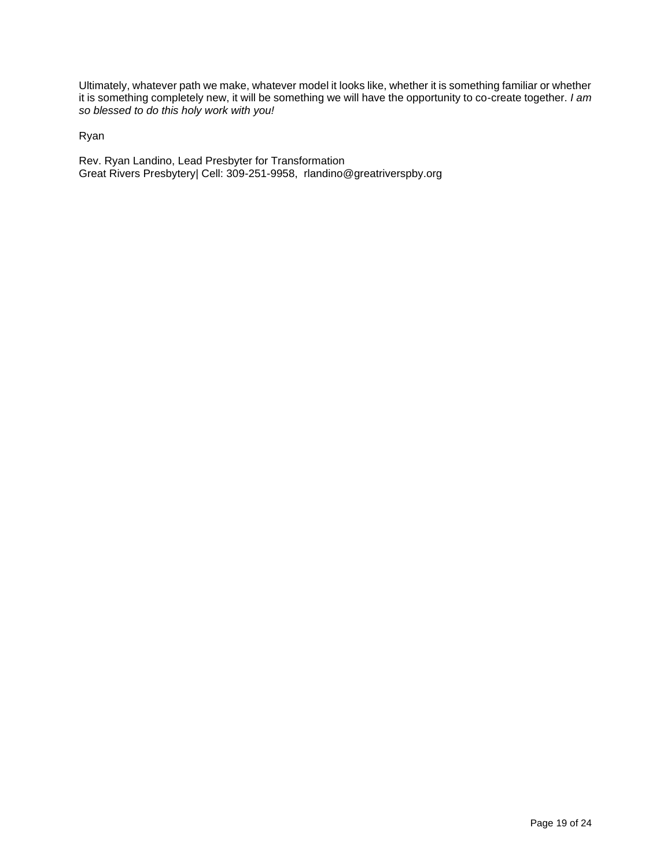Ultimately, whatever path we make, whatever model it looks like, whether it is something familiar or whether it is something completely new, it will be something we will have the opportunity to co-create together. *I am so blessed to do this holy work with you!*

Ryan

Rev. Ryan Landino, Lead Presbyter for Transformation Great Rivers Presbytery| Cell: 309-251-9958, rlandino@greatriverspby.org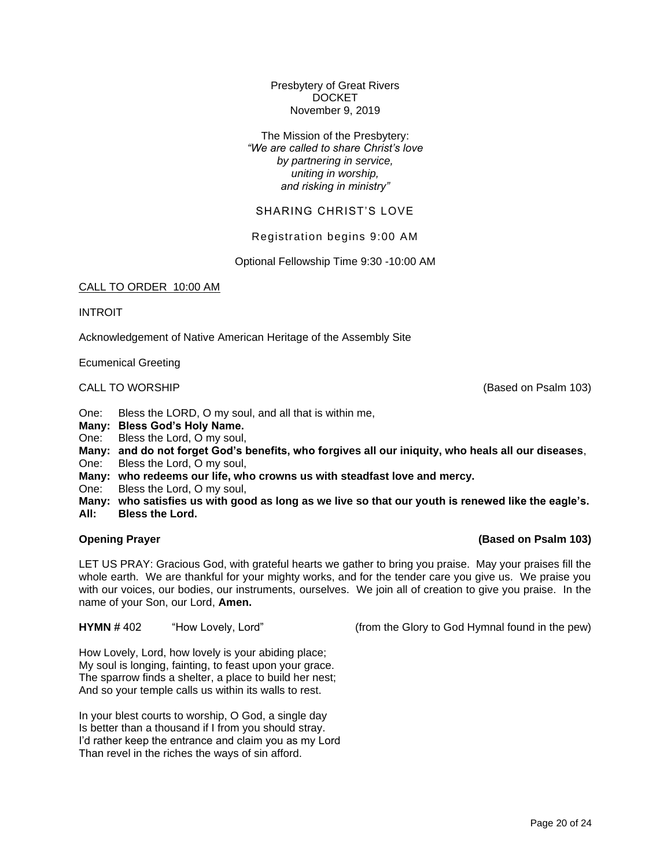Presbytery of Great Rivers **DOCKET** November 9, 2019

The Mission of the Presbytery: *"We are called to share Christ's love by partnering in service, uniting in worship, and risking in ministry"*

# SHARING CHRIST'S LOVE

Registration begins 9:00 AM

Optional Fellowship Time 9:30 -10:00 AM

#### CALL TO ORDER 10:00 AM

INTROIT

Acknowledgement of Native American Heritage of the Assembly Site

Ecumenical Greeting

One: Bless the LORD, O my soul, and all that is within me,

- **Many: Bless God's Holy Name.**
- One: Bless the Lord, O my soul,
- **Many: and do not forget God's benefits, who forgives all our iniquity, who heals all our diseases**,
- One: Bless the Lord, O my soul,
- **Many: who redeems our life, who crowns us with steadfast love and mercy.**
- One: Bless the Lord, O my soul,

**Many: who satisfies us with good as long as we live so that our youth is renewed like the eagle's. All: Bless the Lord.**

## **Opening Prayer (Based on Psalm 103)**

LET US PRAY: Gracious God, with grateful hearts we gather to bring you praise. May your praises fill the whole earth. We are thankful for your mighty works, and for the tender care you give us. We praise you with our voices, our bodies, our instruments, ourselves. We join all of creation to give you praise. In the name of your Son, our Lord, **Amen.**

**HYMN** #402 "How Lovely, Lord" (from the Glory to God Hymnal found in the pew)

How Lovely, Lord, how lovely is your abiding place; My soul is longing, fainting, to feast upon your grace. The sparrow finds a shelter, a place to build her nest; And so your temple calls us within its walls to rest.

In your blest courts to worship, O God, a single day Is better than a thousand if I from you should stray. I'd rather keep the entrance and claim you as my Lord Than revel in the riches the ways of sin afford.

CALL TO WORSHIP (Based on Psalm 103)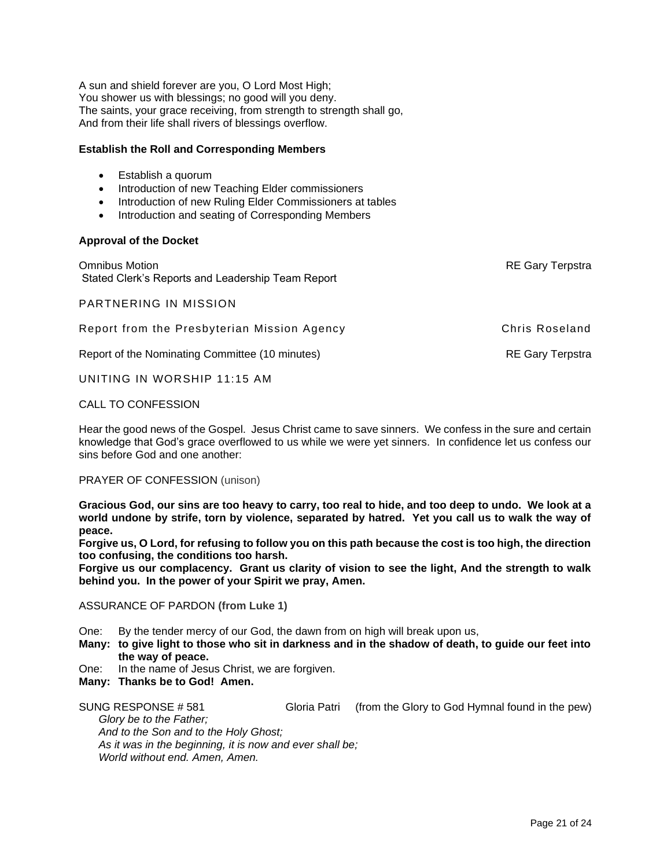A sun and shield forever are you, O Lord Most High; You shower us with blessings; no good will you deny. The saints, your grace receiving, from strength to strength shall go, And from their life shall rivers of blessings overflow.

# **Establish the Roll and Corresponding Members**

- Establish a quorum
- Introduction of new Teaching Elder commissioners
- Introduction of new Ruling Elder Commissioners at tables
- Introduction and seating of Corresponding Members

### **Approval of the Docket**

**Omnibus Motion Computer Computer Computer Computer Computer Computer Computer Computer Computer Computer Computer Computer Computer Computer Computer Computer Computer Computer Computer Computer Computer Computer Computer** Stated Clerk's Reports and Leadership Team Report

PARTNERING IN MISSION

Report from the Presbyterian Mission Agency **Chris Roseland** 

Report of the Nominating Committee (10 minutes) RE Gary Terpstra

UNITING IN WORSHIP 11:15 AM

## CALL TO CONFESSION

Hear the good news of the Gospel. Jesus Christ came to save sinners. We confess in the sure and certain knowledge that God's grace overflowed to us while we were yet sinners. In confidence let us confess our sins before God and one another:

PRAYER OF CONFESSION (unison)

**Gracious God, our sins are too heavy to carry, too real to hide, and too deep to undo. We look at a world undone by strife, torn by violence, separated by hatred. Yet you call us to walk the way of peace.**

**Forgive us, O Lord, for refusing to follow you on this path because the cost is too high, the direction too confusing, the conditions too harsh.**

**Forgive us our complacency. Grant us clarity of vision to see the light, And the strength to walk behind you. In the power of your Spirit we pray, Amen.**

#### ASSURANCE OF PARDON **(from Luke 1)**

One: By the tender mercy of our God, the dawn from on high will break upon us,

- **Many: to give light to those who sit in darkness and in the shadow of death, to guide our feet into the way of peace.**
- One: In the name of Jesus Christ, we are forgiven.
- **Many: Thanks be to God! Amen.**

SUNG RESPONSE # 581 Gloria Patri (from the Glory to God Hymnal found in the pew) *Glory be to the Father; And to the Son and to the Holy Ghost;* 

*As it was in the beginning, it is now and ever shall be; World without end. Amen, Amen.*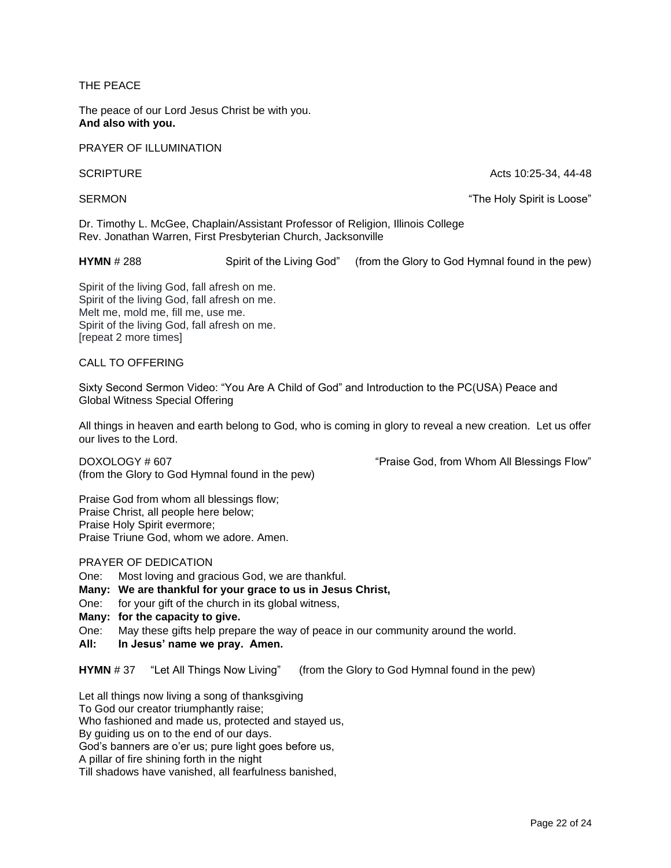THE PEACE

The peace of our Lord Jesus Christ be with you. **And also with you.**

PRAYER OF ILLUMINATION

SCRIPTURE Acts 10:25-34, 44-48

SERMON The Holy Spirit is Loose"

Dr. Timothy L. McGee, Chaplain/Assistant Professor of Religion, Illinois College Rev. Jonathan Warren, First Presbyterian Church, Jacksonville

**HYMN** # 288 Spirit of the Living God" (from the Glory to God Hymnal found in the pew)

Spirit of the living God, fall afresh on me. Spirit of the living God, fall afresh on me. Melt me, mold me, fill me, use me. Spirit of the living God, fall afresh on me. [repeat 2 more times]

CALL TO OFFERING

Sixty Second Sermon Video: "You Are A Child of God" and Introduction to the PC(USA) Peace and Global Witness Special Offering

All things in heaven and earth belong to God, who is coming in glory to reveal a new creation. Let us offer our lives to the Lord.

DOXOLOGY # 607 "
DOXOLOGY # 607 "
DOXOLOGY # 607 (from the Glory to God Hymnal found in the pew)

Praise God from whom all blessings flow; Praise Christ, all people here below; Praise Holy Spirit evermore; Praise Triune God, whom we adore. Amen.

PRAYER OF DEDICATION

One: Most loving and gracious God, we are thankful.

**Many: We are thankful for your grace to us in Jesus Christ,** 

One: for your gift of the church in its global witness,

**Many: for the capacity to give.** 

One: May these gifts help prepare the way of peace in our community around the world.

**All: In Jesus' name we pray. Amen.**

**HYMN** # 37 "Let All Things Now Living" (from the Glory to God Hymnal found in the pew)

Let all things now living a song of thanksgiving

To God our creator triumphantly raise;

Who fashioned and made us, protected and stayed us,

By guiding us on to the end of our days.

God's banners are o'er us; pure light goes before us,

A pillar of fire shining forth in the night

Till shadows have vanished, all fearfulness banished,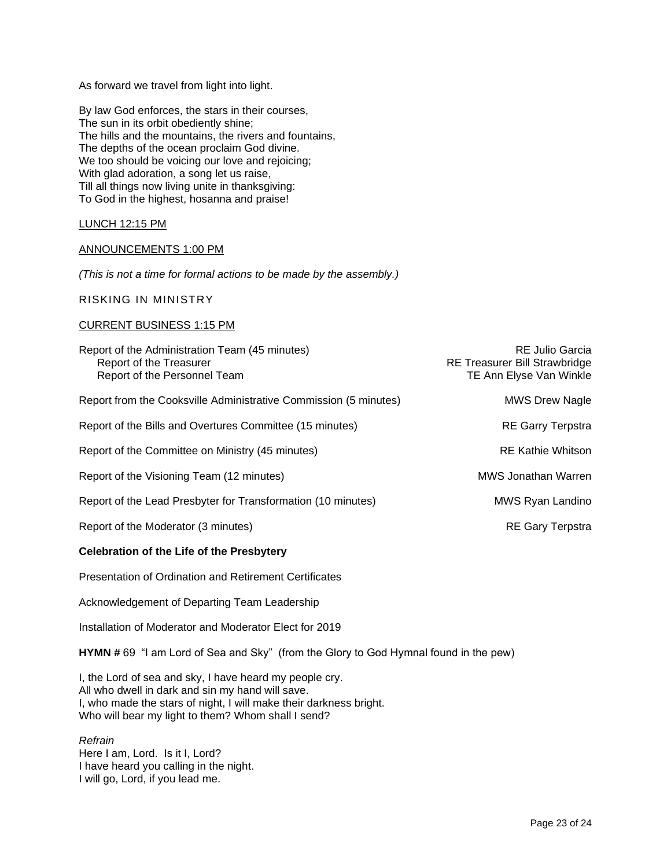As forward we travel from light into light.

By law God enforces, the stars in their courses, The sun in its orbit obediently shine; The hills and the mountains, the rivers and fountains, The depths of the ocean proclaim God divine. We too should be voicing our love and rejoicing; With glad adoration, a song let us raise, Till all things now living unite in thanksgiving: To God in the highest, hosanna and praise!

LUNCH 12:15 PM

#### ANNOUNCEMENTS 1:00 PM

*(This is not a time for formal actions to be made by the assembly.)*

RISKING IN MINISTRY

#### CURRENT BUSINESS 1:15 PM

| Report of the Administration Team (45 minutes)<br>Report of the Treasurer<br>Report of the Personnel Team | <b>RE Julio Garcia</b><br><b>RE Treasurer Bill Strawbridge</b><br>TE Ann Elyse Van Winkle |
|-----------------------------------------------------------------------------------------------------------|-------------------------------------------------------------------------------------------|
| Report from the Cooksville Administrative Commission (5 minutes)                                          | <b>MWS Drew Nagle</b>                                                                     |
| Report of the Bills and Overtures Committee (15 minutes)                                                  | <b>RE Garry Terpstra</b>                                                                  |
| Report of the Committee on Ministry (45 minutes)                                                          | <b>RE Kathie Whitson</b>                                                                  |
| Report of the Visioning Team (12 minutes)                                                                 | MWS Jonathan Warren                                                                       |
| Report of the Lead Presbyter for Transformation (10 minutes)                                              | MWS Ryan Landino                                                                          |
| Report of the Moderator (3 minutes)                                                                       | <b>RE Gary Terpstra</b>                                                                   |
| <b>Celebration of the Life of the Presbytery</b>                                                          |                                                                                           |

Presentation of Ordination and Retirement Certificates

Acknowledgement of Departing Team Leadership

Installation of Moderator and Moderator Elect for 2019

**HYMN #** 69 "I am Lord of Sea and Sky" (from the Glory to God Hymnal found in the pew)

I, the Lord of sea and sky, I have heard my people cry. All who dwell in dark and sin my hand will save. I, who made the stars of night, I will make their darkness bright. Who will bear my light to them? Whom shall I send?

*Refrain* Here I am, Lord. Is it I, Lord? I have heard you calling in the night. I will go, Lord, if you lead me.